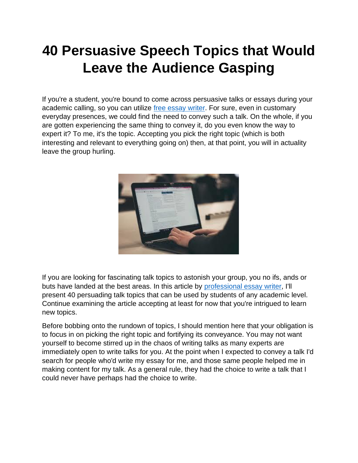# **40 Persuasive Speech Topics that Would Leave the Audience Gasping**

If you're a student, you're bound to come across persuasive talks or essays during your academic calling, so you can utilize [free essay writer.](https://youressaywriter.net/) For sure, even in customary everyday presences, we could find the need to convey such a talk. On the whole, if you are gotten experiencing the same thing to convey it, do you even know the way to expert it? To me, it's the topic. Accepting you pick the right topic (which is both interesting and relevant to everything going on) then, at that point, you will in actuality leave the group hurling.



If you are looking for fascinating talk topics to astonish your group, you no ifs, ands or buts have landed at the best areas. In this article by [professional essay writer,](https://youressaywriter.net/) I'll present 40 persuading talk topics that can be used by students of any academic level. Continue examining the article accepting at least for now that you're intrigued to learn new topics.

Before bobbing onto the rundown of topics, I should mention here that your obligation is to focus in on picking the right topic and fortifying its conveyance. You may not want yourself to become stirred up in the chaos of writing talks as many experts are immediately open to write talks for you. At the point when I expected to convey a talk I'd search for people who'd write my essay for me, and those same people helped me in making content for my talk. As a general rule, they had the choice to write a talk that I could never have perhaps had the choice to write.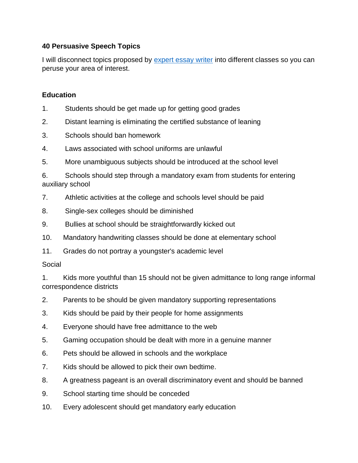## **40 Persuasive Speech Topics**

I will disconnect topics proposed by [expert essay writer](https://youressaywriter.net/) into different classes so you can peruse your area of interest.

### **Education**

- 1. Students should be get made up for getting good grades
- 2. Distant learning is eliminating the certified substance of leaning
- 3. Schools should ban homework
- 4. Laws associated with school uniforms are unlawful
- 5. More unambiguous subjects should be introduced at the school level

6. Schools should step through a mandatory exam from students for entering auxiliary school

- 7. Athletic activities at the college and schools level should be paid
- 8. Single-sex colleges should be diminished
- 9. Bullies at school should be straightforwardly kicked out
- 10. Mandatory handwriting classes should be done at elementary school
- 11. Grades do not portray a youngster's academic level

#### Social

1. Kids more youthful than 15 should not be given admittance to long range informal correspondence districts

- 2. Parents to be should be given mandatory supporting representations
- 3. Kids should be paid by their people for home assignments
- 4. Everyone should have free admittance to the web
- 5. Gaming occupation should be dealt with more in a genuine manner
- 6. Pets should be allowed in schools and the workplace
- 7. Kids should be allowed to pick their own bedtime.
- 8. A greatness pageant is an overall discriminatory event and should be banned
- 9. School starting time should be conceded
- 10. Every adolescent should get mandatory early education